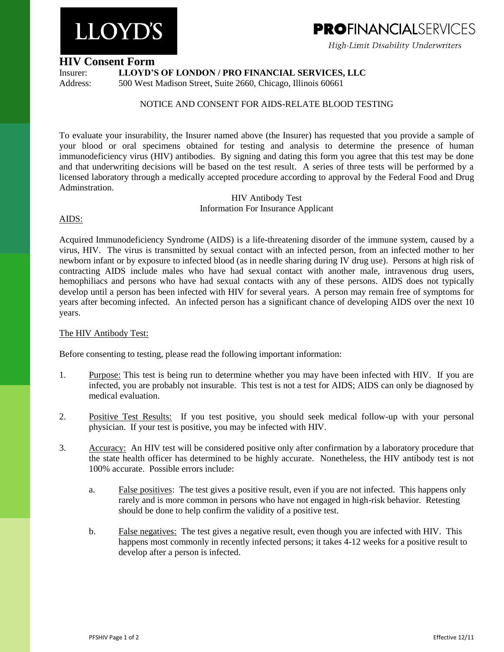# **LLOYD'S**

## **PROFINANCIALSFRVICES**

High-Limit Disability Underwriters

#### **HIV Consent Form**

Insurer: **LLOYD'S OF LONDON / PRO FINANCIAL SERVICES, LLC**

Address: 500 West Madison Street, Suite 2660, Chicago, Illinois 60661

### NOTICE AND CONSENT FOR AIDS-RELATE BLOOD TESTING

To evaluate your insurability, the Insurer named above (the Insurer) has requested that you provide a sample of your blood or oral specimens obtained for testing and analysis to determine the presence of human immunodeficiency virus (HIV) antibodies. By signing and dating this form you agree that this test may be done and that underwriting decisions will be based on the test result. A series of three tests will be performed by a licensed laboratory through a medically accepted procedure according to approval by the Federal Food and Drug Adminstration.

HIV Antibody Test Information For Insurance Applicant

#### AIDS:

Acquired Immunodeficiency Syndrome (AIDS) is a life-threatening disorder of the immune system, caused by a virus, HIV. The virus is transmitted by sexual contact with an infected person, from an infected mother to her newborn infant or by exposure to infected blood (as in needle sharing during IV drug use). Persons at high risk of contracting AIDS include males who have had sexual contact with another male, intravenous drug users, hemophiliacs and persons who have had sexual contacts with any of these persons. AIDS does not typically develop until a person has been infected with HIV for several years. A person may remain free of symptoms for years after becoming infected. An infected person has a significant chance of developing AIDS over the next 10 years.

#### The HIV Antibody Test:

Before consenting to testing, please read the following important information:

- 1. Purpose: This test is being run to determine whether you may have been infected with HIV. If you are infected, you are probably not insurable. This test is not a test for AIDS; AIDS can only be diagnosed by medical evaluation.
- 2. Positive Test Results: If you test positive, you should seek medical follow-up with your personal physician. If your test is positive, you may be infected with HIV.
- 3. Accuracy: An HIV test will be considered positive only after confirmation by a laboratory procedure that the state health officer has determined to be highly accurate. Nonetheless, the HIV antibody test is not 100% accurate. Possible errors include:
	- a. False positives: The test gives a positive result, even if you are not infected. This happens only rarely and is more common in persons who have not engaged in high-risk behavior. Retesting should be done to help confirm the validity of a positive test.
	- b. False negatives: The test gives a negative result, even though you are infected with HIV. This happens most commonly in recently infected persons; it takes 4-12 weeks for a positive result to develop after a person is infected.